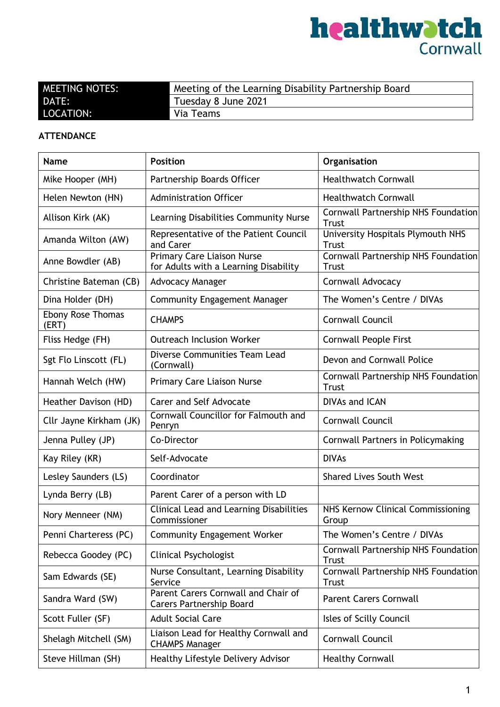

| <b>MEETING NOTES:</b> | Meeting of the Learning Disability Partnership Board |
|-----------------------|------------------------------------------------------|
| <b>DATE:</b>          | Tuesday 8 June 2021                                  |
| LOCATION:             | Via Teams                                            |

#### **ATTENDANCE**

| <b>Name</b>                       | <b>Position</b>                                                            | Organisation                                        |
|-----------------------------------|----------------------------------------------------------------------------|-----------------------------------------------------|
| Mike Hooper (MH)                  | Partnership Boards Officer                                                 | <b>Healthwatch Cornwall</b>                         |
| Helen Newton (HN)                 | <b>Administration Officer</b>                                              | <b>Healthwatch Cornwall</b>                         |
| Allison Kirk (AK)                 | Learning Disabilities Community Nurse                                      | Cornwall Partnership NHS Foundation<br>Trust        |
| Amanda Wilton (AW)                | Representative of the Patient Council<br>and Carer                         | University Hospitals Plymouth NHS<br>Trust          |
| Anne Bowdler (AB)                 | <b>Primary Care Liaison Nurse</b><br>for Adults with a Learning Disability | Cornwall Partnership NHS Foundation<br><b>Trust</b> |
| Christine Bateman (CB)            | <b>Advocacy Manager</b>                                                    | Cornwall Advocacy                                   |
| Dina Holder (DH)                  | <b>Community Engagement Manager</b>                                        | The Women's Centre / DIVAs                          |
| <b>Ebony Rose Thomas</b><br>(ERT) | <b>CHAMPS</b>                                                              | <b>Cornwall Council</b>                             |
| Fliss Hedge (FH)                  | <b>Outreach Inclusion Worker</b>                                           | <b>Cornwall People First</b>                        |
| Sgt Flo Linscott (FL)             | Diverse Communities Team Lead<br>(Cornwall)                                | Devon and Cornwall Police                           |
| Hannah Welch (HW)                 | <b>Primary Care Liaison Nurse</b>                                          | Cornwall Partnership NHS Foundation<br><b>Trust</b> |
| Heather Davison (HD)              | Carer and Self Advocate                                                    | <b>DIVAs and ICAN</b>                               |
| Cllr Jayne Kirkham (JK)           | Cornwall Councillor for Falmouth and<br>Penryn                             | Cornwall Council                                    |
| Jenna Pulley (JP)                 | Co-Director                                                                | Cornwall Partners in Policymaking                   |
| Kay Riley (KR)                    | Self-Advocate                                                              | <b>DIVAs</b>                                        |
| Lesley Saunders (LS)              | Coordinator                                                                | <b>Shared Lives South West</b>                      |
| Lynda Berry (LB)                  | Parent Carer of a person with LD                                           |                                                     |
| Nory Menneer (NM)                 | Clinical Lead and Learning Disabilities<br>Commissioner                    | NHS Kernow Clinical Commissioning<br>Group          |
| Penni Charteress (PC)             | <b>Community Engagement Worker</b>                                         | The Women's Centre / DIVAs                          |
| Rebecca Goodey (PC)               | <b>Clinical Psychologist</b>                                               | Cornwall Partnership NHS Foundation<br><b>Trust</b> |
| Sam Edwards (SE)                  | Nurse Consultant, Learning Disability<br>Service                           | Cornwall Partnership NHS Foundation<br>Trust        |
| Sandra Ward (SW)                  | Parent Carers Cornwall and Chair of<br><b>Carers Partnership Board</b>     | <b>Parent Carers Cornwall</b>                       |
| Scott Fuller (SF)                 | <b>Adult Social Care</b>                                                   | Isles of Scilly Council                             |
| Shelagh Mitchell (SM)             | Liaison Lead for Healthy Cornwall and<br><b>CHAMPS Manager</b>             | Cornwall Council                                    |
| Steve Hillman (SH)                | Healthy Lifestyle Delivery Advisor                                         | <b>Healthy Cornwall</b>                             |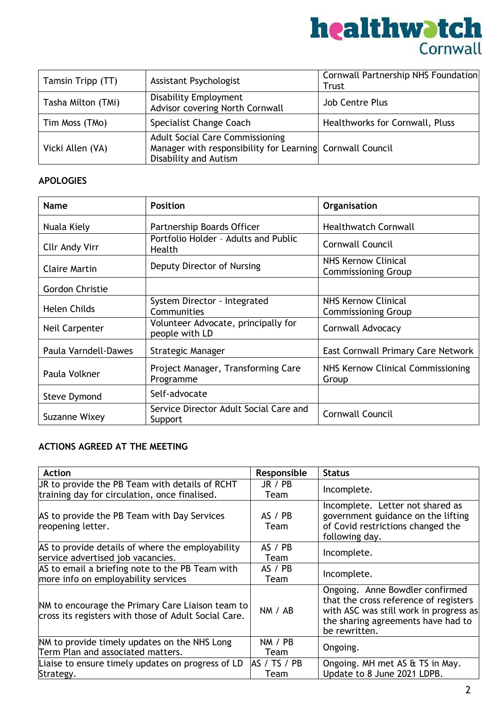

| Tamsin Tripp (TT)  | Assistant Psychologist                                                                                                       | Cornwall Partnership NHS Foundation<br>Trust |
|--------------------|------------------------------------------------------------------------------------------------------------------------------|----------------------------------------------|
| Tasha Milton (TMi) | <b>Disability Employment</b><br>Advisor covering North Cornwall                                                              | Job Centre Plus                              |
| Tim Moss (TMo)     | Specialist Change Coach                                                                                                      | Healthworks for Cornwall, Pluss              |
| Vicki Allen (VA)   | <b>Adult Social Care Commissioning</b><br>Manager with responsibility for Learning Cornwall Council<br>Disability and Autism |                                              |

#### **APOLOGIES**

| <b>Name</b>           | <b>Position</b>                                                                 | Organisation                                      |
|-----------------------|---------------------------------------------------------------------------------|---------------------------------------------------|
| Nuala Kiely           | Partnership Boards Officer                                                      | <b>Healthwatch Cornwall</b>                       |
| <b>Cllr Andy Virr</b> | Portfolio Holder - Adults and Public<br><b>Health</b>                           | Cornwall Council                                  |
| Claire Martin         | NHS Kernow Clinical<br>Deputy Director of Nursing<br><b>Commissioning Group</b> |                                                   |
| Gordon Christie       |                                                                                 |                                                   |
| <b>Helen Childs</b>   | System Director - Integrated<br>Communities                                     | NHS Kernow Clinical<br><b>Commissioning Group</b> |
| Neil Carpenter        | Volunteer Advocate, principally for<br>people with LD                           | Cornwall Advocacy                                 |
| Paula Varndell-Dawes  | Strategic Manager                                                               | East Cornwall Primary Care Network                |
| Paula Volkner         | Project Manager, Transforming Care<br>Programme                                 | NHS Kernow Clinical Commissioning<br>Group        |
| <b>Steve Dymond</b>   | Self-advocate                                                                   |                                                   |
| Suzanne Wixey         | Service Director Adult Social Care and<br>Support                               | <b>Cornwall Council</b>                           |

#### **ACTIONS AGREED AT THE MEETING**

| <b>Action</b>                                                                                            | Responsible           | <b>Status</b>                                                                                                                                                             |
|----------------------------------------------------------------------------------------------------------|-----------------------|---------------------------------------------------------------------------------------------------------------------------------------------------------------------------|
| UR to provide the PB Team with details of RCHT<br>training day for circulation, once finalised.          | JR / PB<br>Team       | Incomplete.                                                                                                                                                               |
| AS to provide the PB Team with Day Services<br>reopening letter.                                         | AS / PB<br>Team       | Incomplete. Letter not shared as<br>government guidance on the lifting<br>of Covid restrictions changed the<br>following day.                                             |
| AS to provide details of where the employability<br>service advertised job vacancies.                    | AS / PB<br>Team       | Incomplete.                                                                                                                                                               |
| AS to email a briefing note to the PB Team with<br>more info on employability services                   | AS / PB<br>Team       | Incomplete.                                                                                                                                                               |
| NM to encourage the Primary Care Liaison team to<br>cross its registers with those of Adult Social Care. | NM / AB               | Ongoing. Anne Bowdler confirmed<br>that the cross reference of registers<br>with ASC was still work in progress as<br>the sharing agreements have had to<br>be rewritten. |
| NM to provide timely updates on the NHS Long<br>Term Plan and associated matters.                        | NM / PB<br>Team       | Ongoing.                                                                                                                                                                  |
| Liaise to ensure timely updates on progress of LD<br>Strategy.                                           | IAS / TS / PB<br>Team | Ongoing. MH met AS & TS in May.<br>Update to 8 June 2021 LDPB.                                                                                                            |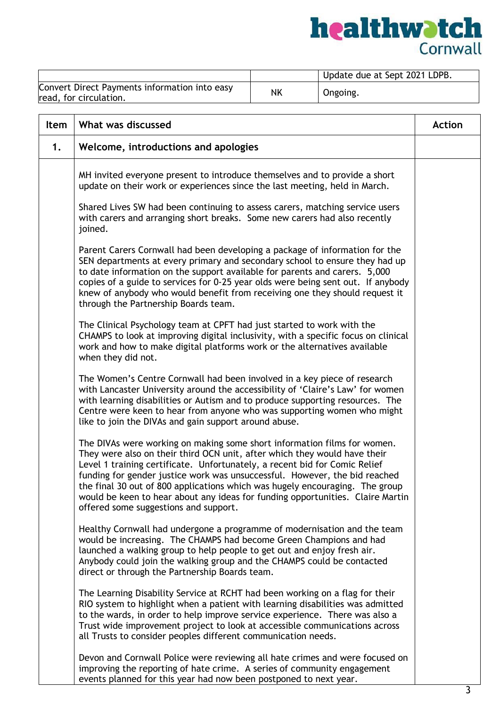

|                                                                         |    | Update due at Sept 2021 LDPB. |
|-------------------------------------------------------------------------|----|-------------------------------|
| Convert Direct Payments information into easy<br>read, for circulation. | ΝK | Ongoing.                      |

| Item | What was discussed                                                                                                                                                                                                                                                                                                                                                                                                                                                                                                           | <b>Action</b> |
|------|------------------------------------------------------------------------------------------------------------------------------------------------------------------------------------------------------------------------------------------------------------------------------------------------------------------------------------------------------------------------------------------------------------------------------------------------------------------------------------------------------------------------------|---------------|
| 1.   | Welcome, introductions and apologies                                                                                                                                                                                                                                                                                                                                                                                                                                                                                         |               |
|      | MH invited everyone present to introduce themselves and to provide a short<br>update on their work or experiences since the last meeting, held in March.                                                                                                                                                                                                                                                                                                                                                                     |               |
|      | Shared Lives SW had been continuing to assess carers, matching service users<br>with carers and arranging short breaks. Some new carers had also recently<br>joined.                                                                                                                                                                                                                                                                                                                                                         |               |
|      | Parent Carers Cornwall had been developing a package of information for the<br>SEN departments at every primary and secondary school to ensure they had up<br>to date information on the support available for parents and carers. 5,000<br>copies of a guide to services for 0-25 year olds were being sent out. If anybody<br>knew of anybody who would benefit from receiving one they should request it<br>through the Partnership Boards team.                                                                          |               |
|      | The Clinical Psychology team at CPFT had just started to work with the<br>CHAMPS to look at improving digital inclusivity, with a specific focus on clinical<br>work and how to make digital platforms work or the alternatives available<br>when they did not.                                                                                                                                                                                                                                                              |               |
|      | The Women's Centre Cornwall had been involved in a key piece of research<br>with Lancaster University around the accessibility of 'Claire's Law' for women<br>with learning disabilities or Autism and to produce supporting resources. The<br>Centre were keen to hear from anyone who was supporting women who might<br>like to join the DIVAs and gain support around abuse.                                                                                                                                              |               |
|      | The DIVAs were working on making some short information films for women.<br>They were also on their third OCN unit, after which they would have their<br>Level 1 training certificate. Unfortunately, a recent bid for Comic Relief<br>funding for gender justice work was unsuccessful. However, the bid reached<br>the final 30 out of 800 applications which was hugely encouraging. The group<br>would be keen to hear about any ideas for funding opportunities. Claire Martin<br>offered some suggestions and support. |               |
|      | Healthy Cornwall had undergone a programme of modernisation and the team<br>would be increasing. The CHAMPS had become Green Champions and had<br>launched a walking group to help people to get out and enjoy fresh air.<br>Anybody could join the walking group and the CHAMPS could be contacted<br>direct or through the Partnership Boards team.                                                                                                                                                                        |               |
|      | The Learning Disability Service at RCHT had been working on a flag for their<br>RIO system to highlight when a patient with learning disabilities was admitted<br>to the wards, in order to help improve service experience. There was also a<br>Trust wide improvement project to look at accessible communications across<br>all Trusts to consider peoples different communication needs.                                                                                                                                 |               |
|      | Devon and Cornwall Police were reviewing all hate crimes and were focused on<br>improving the reporting of hate crime. A series of community engagement<br>events planned for this year had now been postponed to next year.                                                                                                                                                                                                                                                                                                 |               |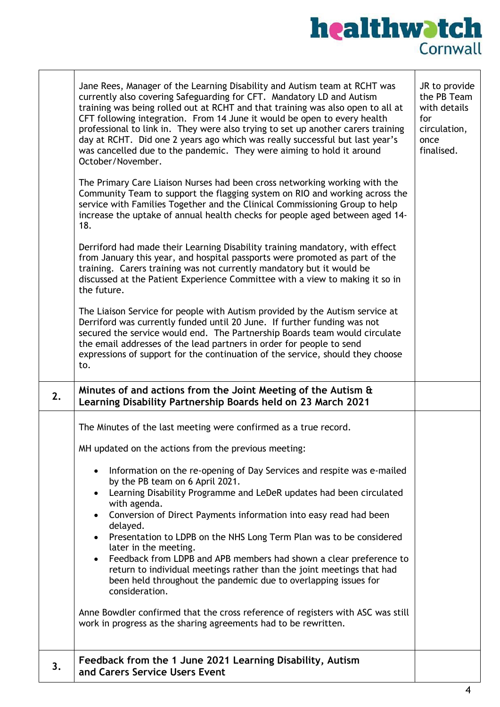

|    | Jane Rees, Manager of the Learning Disability and Autism team at RCHT was<br>currently also covering Safeguarding for CFT. Mandatory LD and Autism<br>training was being rolled out at RCHT and that training was also open to all at<br>CFT following integration. From 14 June it would be open to every health<br>professional to link in. They were also trying to set up another carers training<br>day at RCHT. Did one 2 years ago which was really successful but last year's<br>was cancelled due to the pandemic. They were aiming to hold it around<br>October/November.<br>The Primary Care Liaison Nurses had been cross networking working with the<br>Community Team to support the flagging system on RIO and working across the<br>service with Families Together and the Clinical Commissioning Group to help<br>increase the uptake of annual health checks for people aged between aged 14-<br>18.<br>Derriford had made their Learning Disability training mandatory, with effect<br>from January this year, and hospital passports were promoted as part of the<br>training. Carers training was not currently mandatory but it would be<br>discussed at the Patient Experience Committee with a view to making it so in<br>the future.<br>The Liaison Service for people with Autism provided by the Autism service at<br>Derriford was currently funded until 20 June. If further funding was not<br>secured the service would end. The Partnership Boards team would circulate<br>the email addresses of the lead partners in order for people to send<br>expressions of support for the continuation of the service, should they choose<br>to. | JR to provide<br>the PB Team<br>with details<br>for<br>circulation,<br>once<br>finalised. |
|----|--------------------------------------------------------------------------------------------------------------------------------------------------------------------------------------------------------------------------------------------------------------------------------------------------------------------------------------------------------------------------------------------------------------------------------------------------------------------------------------------------------------------------------------------------------------------------------------------------------------------------------------------------------------------------------------------------------------------------------------------------------------------------------------------------------------------------------------------------------------------------------------------------------------------------------------------------------------------------------------------------------------------------------------------------------------------------------------------------------------------------------------------------------------------------------------------------------------------------------------------------------------------------------------------------------------------------------------------------------------------------------------------------------------------------------------------------------------------------------------------------------------------------------------------------------------------------------------------------------------------------------------------------------------------------|-------------------------------------------------------------------------------------------|
| 2. | Minutes of and actions from the Joint Meeting of the Autism &<br>Learning Disability Partnership Boards held on 23 March 2021                                                                                                                                                                                                                                                                                                                                                                                                                                                                                                                                                                                                                                                                                                                                                                                                                                                                                                                                                                                                                                                                                                                                                                                                                                                                                                                                                                                                                                                                                                                                            |                                                                                           |
|    | The Minutes of the last meeting were confirmed as a true record.<br>MH updated on the actions from the previous meeting:<br>Information on the re-opening of Day Services and respite was e-mailed<br>by the PB team on 6 April 2021.<br>Learning Disability Programme and LeDeR updates had been circulated<br>with agenda.<br>Conversion of Direct Payments information into easy read had been<br>delayed.<br>Presentation to LDPB on the NHS Long Term Plan was to be considered<br>$\bullet$<br>later in the meeting.<br>Feedback from LDPB and APB members had shown a clear preference to<br>return to individual meetings rather than the joint meetings that had<br>been held throughout the pandemic due to overlapping issues for<br>consideration.<br>Anne Bowdler confirmed that the cross reference of registers with ASC was still<br>work in progress as the sharing agreements had to be rewritten.                                                                                                                                                                                                                                                                                                                                                                                                                                                                                                                                                                                                                                                                                                                                                     |                                                                                           |
| 3. | Feedback from the 1 June 2021 Learning Disability, Autism<br>and Carers Service Users Event                                                                                                                                                                                                                                                                                                                                                                                                                                                                                                                                                                                                                                                                                                                                                                                                                                                                                                                                                                                                                                                                                                                                                                                                                                                                                                                                                                                                                                                                                                                                                                              |                                                                                           |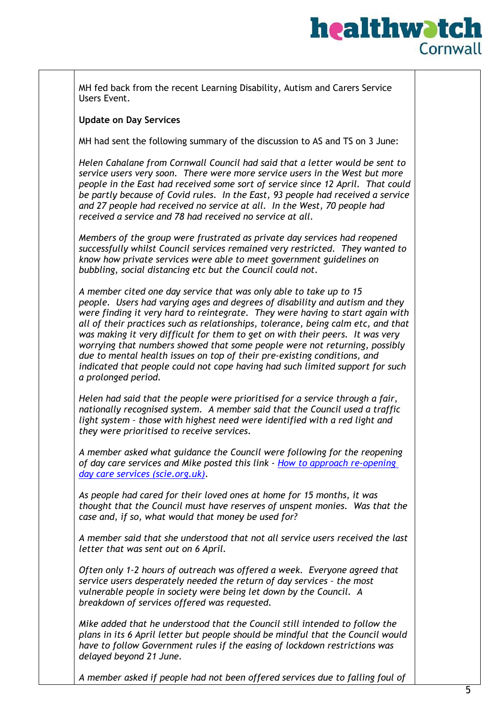### **healthwatch** Cornwall

MH fed back from the recent Learning Disability, Autism and Carers Service Users Event.

#### **Update on Day Services**

MH had sent the following summary of the discussion to AS and TS on 3 June:

*Helen Cahalane from Cornwall Council had said that a letter would be sent to service users very soon. There were more service users in the West but more people in the East had received some sort of service since 12 April. That could be partly because of Covid rules. In the East, 93 people had received a service and 27 people had received no service at all. In the West, 70 people had received a service and 78 had received no service at all.*

*Members of the group were frustrated as private day services had reopened successfully whilst Council services remained very restricted. They wanted to know how private services were able to meet government guidelines on bubbling, social distancing etc but the Council could not.*

*A member cited one day service that was only able to take up to 15 people. Users had varying ages and degrees of disability and autism and they were finding it very hard to reintegrate. They were having to start again with all of their practices such as relationships, tolerance, being calm etc, and that was making it very difficult for them to get on with their peers. It was very worrying that numbers showed that some people were not returning, possibly due to mental health issues on top of their pre-existing conditions, and indicated that people could not cope having had such limited support for such a prolonged period.*

*Helen had said that the people were prioritised for a service through a fair, nationally recognised system. A member said that the Council used a traffic light system – those with highest need were identified with a red light and they were prioritised to receive services.*

*A member asked what guidance the Council were following for the reopening of day care services and Mike posted this link - [How to approach re-opening](https://www.scie.org.uk/care-providers/coronavirus-covid-19/day-care/safe-delivery/re-opening)  [day care services \(scie.org.uk\).](https://www.scie.org.uk/care-providers/coronavirus-covid-19/day-care/safe-delivery/re-opening)*

*As people had cared for their loved ones at home for 15 months, it was thought that the Council must have reserves of unspent monies. Was that the case and, if so, what would that money be used for?*

*A member said that she understood that not all service users received the last letter that was sent out on 6 April.*

*Often only 1-2 hours of outreach was offered a week. Everyone agreed that service users desperately needed the return of day services – the most vulnerable people in society were being let down by the Council. A breakdown of services offered was requested.*

*Mike added that he understood that the Council still intended to follow the plans in its 6 April letter but people should be mindful that the Council would have to follow Government rules if the easing of lockdown restrictions was delayed beyond 21 June.*

*A member asked if people had not been offered services due to falling foul of*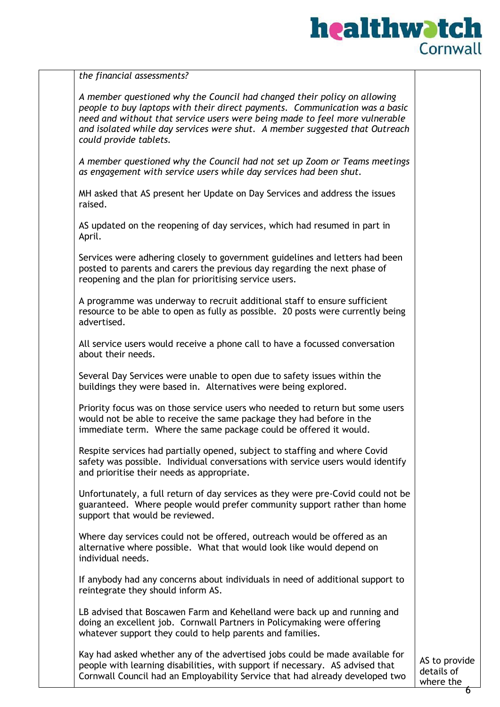

|  |  | the financial assessments? |  |  |
|--|--|----------------------------|--|--|
|--|--|----------------------------|--|--|

*A member questioned why the Council had changed their policy on allowing people to buy laptops with their direct payments. Communication was a basic need and without that service users were being made to feel more vulnerable and isolated while day services were shut. A member suggested that Outreach could provide tablets.*

*A member questioned why the Council had not set up Zoom or Teams meetings as engagement with service users while day services had been shut.*

MH asked that AS present her Update on Day Services and address the issues raised.

AS updated on the reopening of day services, which had resumed in part in April.

Services were adhering closely to government guidelines and letters had been posted to parents and carers the previous day regarding the next phase of reopening and the plan for prioritising service users.

A programme was underway to recruit additional staff to ensure sufficient resource to be able to open as fully as possible. 20 posts were currently being advertised.

All service users would receive a phone call to have a focussed conversation about their needs.

Several Day Services were unable to open due to safety issues within the buildings they were based in. Alternatives were being explored.

Priority focus was on those service users who needed to return but some users would not be able to receive the same package they had before in the immediate term. Where the same package could be offered it would.

Respite services had partially opened, subject to staffing and where Covid safety was possible. Individual conversations with service users would identify and prioritise their needs as appropriate.

Unfortunately, a full return of day services as they were pre-Covid could not be guaranteed. Where people would prefer community support rather than home support that would be reviewed.

Where day services could not be offered, outreach would be offered as an alternative where possible. What that would look like would depend on individual needs.

If anybody had any concerns about individuals in need of additional support to reintegrate they should inform AS.

LB advised that Boscawen Farm and Kehelland were back up and running and doing an excellent job. Cornwall Partners in Policymaking were offering whatever support they could to help parents and families.

Kay had asked whether any of the advertised jobs could be made available for people with learning disabilities, with support if necessary. AS advised that Cornwall Council had an Employability Service that had already developed two

AS to provide details of where the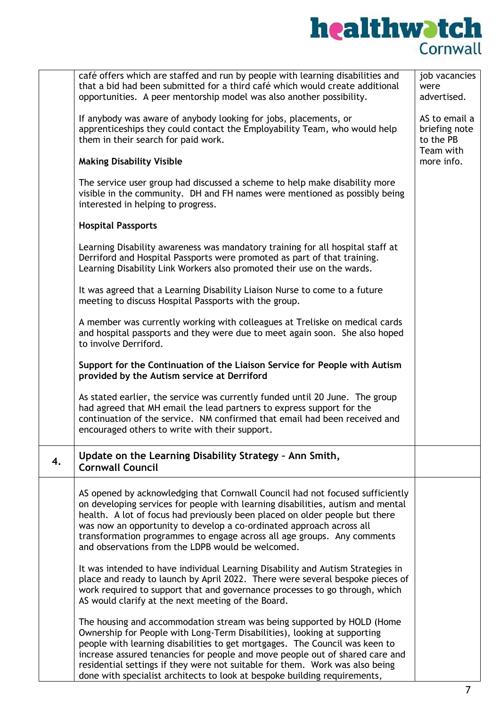

|    | café offers which are staffed and run by people with learning disabilities and<br>that a bid had been submitted for a third café which would create additional<br>opportunities. A peer mentorship model was also another possibility.                                                                                                                                                                                                                                         | job vacancies<br>were<br>advertised.                     |
|----|--------------------------------------------------------------------------------------------------------------------------------------------------------------------------------------------------------------------------------------------------------------------------------------------------------------------------------------------------------------------------------------------------------------------------------------------------------------------------------|----------------------------------------------------------|
|    | If anybody was aware of anybody looking for jobs, placements, or<br>apprenticeships they could contact the Employability Team, who would help<br>them in their search for paid work.                                                                                                                                                                                                                                                                                           | AS to email a<br>briefing note<br>to the PB<br>Team with |
|    | <b>Making Disability Visible</b>                                                                                                                                                                                                                                                                                                                                                                                                                                               | more info.                                               |
|    | The service user group had discussed a scheme to help make disability more<br>visible in the community. DH and FH names were mentioned as possibly being<br>interested in helping to progress.                                                                                                                                                                                                                                                                                 |                                                          |
|    | <b>Hospital Passports</b>                                                                                                                                                                                                                                                                                                                                                                                                                                                      |                                                          |
|    | Learning Disability awareness was mandatory training for all hospital staff at<br>Derriford and Hospital Passports were promoted as part of that training.<br>Learning Disability Link Workers also promoted their use on the wards.                                                                                                                                                                                                                                           |                                                          |
|    | It was agreed that a Learning Disability Liaison Nurse to come to a future<br>meeting to discuss Hospital Passports with the group.                                                                                                                                                                                                                                                                                                                                            |                                                          |
|    | A member was currently working with colleagues at Treliske on medical cards<br>and hospital passports and they were due to meet again soon. She also hoped<br>to involve Derriford.                                                                                                                                                                                                                                                                                            |                                                          |
|    | Support for the Continuation of the Liaison Service for People with Autism<br>provided by the Autism service at Derriford                                                                                                                                                                                                                                                                                                                                                      |                                                          |
|    | As stated earlier, the service was currently funded until 20 June. The group<br>had agreed that MH email the lead partners to express support for the<br>continuation of the service. NM confirmed that email had been received and<br>encouraged others to write with their support.                                                                                                                                                                                          |                                                          |
| 4. | Update on the Learning Disability Strategy - Ann Smith,<br><b>Cornwall Council</b>                                                                                                                                                                                                                                                                                                                                                                                             |                                                          |
|    | AS opened by acknowledging that Cornwall Council had not focused sufficiently<br>on developing services for people with learning disabilities, autism and mental<br>health. A lot of focus had previously been placed on older people but there<br>was now an opportunity to develop a co-ordinated approach across all<br>transformation programmes to engage across all age groups. Any comments<br>and observations from the LDPB would be welcomed.                        |                                                          |
|    | It was intended to have individual Learning Disability and Autism Strategies in<br>place and ready to launch by April 2022. There were several bespoke pieces of<br>work required to support that and governance processes to go through, which<br>AS would clarify at the next meeting of the Board.                                                                                                                                                                          |                                                          |
|    | The housing and accommodation stream was being supported by HOLD (Home<br>Ownership for People with Long-Term Disabilities), looking at supporting<br>people with learning disabilities to get mortgages. The Council was keen to<br>increase assured tenancies for people and move people out of shared care and<br>residential settings if they were not suitable for them. Work was also being<br>done with specialist architects to look at bespoke building requirements, |                                                          |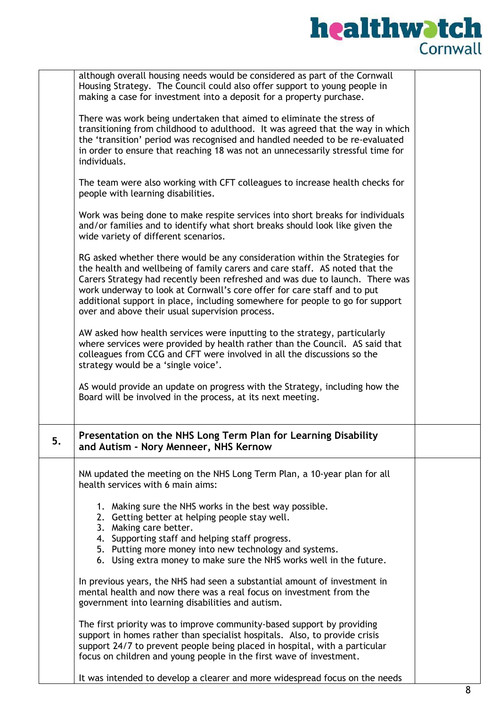# **healthwatch**

|    | although overall housing needs would be considered as part of the Cornwall<br>Housing Strategy. The Council could also offer support to young people in<br>making a case for investment into a deposit for a property purchase.                                                                                                                                                                                                                            |  |
|----|------------------------------------------------------------------------------------------------------------------------------------------------------------------------------------------------------------------------------------------------------------------------------------------------------------------------------------------------------------------------------------------------------------------------------------------------------------|--|
|    | There was work being undertaken that aimed to eliminate the stress of<br>transitioning from childhood to adulthood. It was agreed that the way in which<br>the 'transition' period was recognised and handled needed to be re-evaluated<br>in order to ensure that reaching 18 was not an unnecessarily stressful time for<br>individuals.                                                                                                                 |  |
|    | The team were also working with CFT colleagues to increase health checks for<br>people with learning disabilities.                                                                                                                                                                                                                                                                                                                                         |  |
|    | Work was being done to make respite services into short breaks for individuals<br>and/or families and to identify what short breaks should look like given the<br>wide variety of different scenarios.                                                                                                                                                                                                                                                     |  |
|    | RG asked whether there would be any consideration within the Strategies for<br>the health and wellbeing of family carers and care staff. AS noted that the<br>Carers Strategy had recently been refreshed and was due to launch. There was<br>work underway to look at Cornwall's core offer for care staff and to put<br>additional support in place, including somewhere for people to go for support<br>over and above their usual supervision process. |  |
|    | AW asked how health services were inputting to the strategy, particularly<br>where services were provided by health rather than the Council. AS said that<br>colleagues from CCG and CFT were involved in all the discussions so the<br>strategy would be a 'single voice'.                                                                                                                                                                                |  |
|    | AS would provide an update on progress with the Strategy, including how the<br>Board will be involved in the process, at its next meeting.                                                                                                                                                                                                                                                                                                                 |  |
| 5. | Presentation on the NHS Long Term Plan for Learning Disability<br>and Autism - Nory Menneer, NHS Kernow                                                                                                                                                                                                                                                                                                                                                    |  |
|    | NM updated the meeting on the NHS Long Term Plan, a 10-year plan for all<br>health services with 6 main aims:                                                                                                                                                                                                                                                                                                                                              |  |
|    | 1. Making sure the NHS works in the best way possible.<br>2. Getting better at helping people stay well.<br>3. Making care better.<br>4. Supporting staff and helping staff progress.                                                                                                                                                                                                                                                                      |  |
|    | 5. Putting more money into new technology and systems.<br>6. Using extra money to make sure the NHS works well in the future.                                                                                                                                                                                                                                                                                                                              |  |
|    | In previous years, the NHS had seen a substantial amount of investment in<br>mental health and now there was a real focus on investment from the<br>government into learning disabilities and autism.                                                                                                                                                                                                                                                      |  |
|    | The first priority was to improve community-based support by providing<br>support in homes rather than specialist hospitals. Also, to provide crisis<br>support 24/7 to prevent people being placed in hospital, with a particular<br>focus on children and young people in the first wave of investment.                                                                                                                                                  |  |
|    | It was intended to develop a clearer and more widespread focus on the needs                                                                                                                                                                                                                                                                                                                                                                                |  |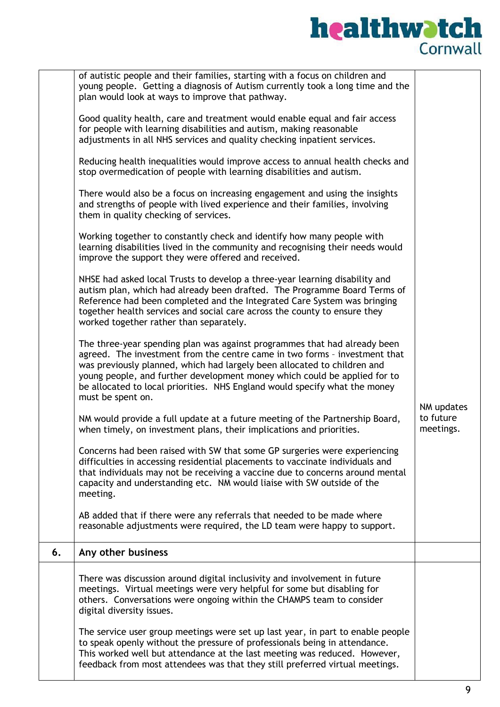# **healthwatch**

|    | of autistic people and their families, starting with a focus on children and<br>young people. Getting a diagnosis of Autism currently took a long time and the<br>plan would look at ways to improve that pathway.<br>Good quality health, care and treatment would enable equal and fair access<br>for people with learning disabilities and autism, making reasonable<br>adjustments in all NHS services and quality checking inpatient services.<br>Reducing health inequalities would improve access to annual health checks and<br>stop overmedication of people with learning disabilities and autism.<br>There would also be a focus on increasing engagement and using the insights<br>and strengths of people with lived experience and their families, involving<br>them in quality checking of services.<br>Working together to constantly check and identify how many people with<br>learning disabilities lived in the community and recognising their needs would<br>improve the support they were offered and received.<br>NHSE had asked local Trusts to develop a three-year learning disability and<br>autism plan, which had already been drafted. The Programme Board Terms of<br>Reference had been completed and the Integrated Care System was bringing<br>together health services and social care across the county to ensure they<br>worked together rather than separately.<br>The three-year spending plan was against programmes that had already been<br>agreed. The investment from the centre came in two forms - investment that<br>was previously planned, which had largely been allocated to children and<br>young people, and further development money which could be applied for to<br>be allocated to local priorities. NHS England would specify what the money<br>must be spent on.<br>NM would provide a full update at a future meeting of the Partnership Board,<br>when timely, on investment plans, their implications and priorities.<br>Concerns had been raised with SW that some GP surgeries were experiencing<br>difficulties in accessing residential placements to vaccinate individuals and<br>that individuals may not be receiving a vaccine due to concerns around mental<br>capacity and understanding etc. NM would liaise with SW outside of the<br>meeting. | NM updates<br>to future<br>meetings. |
|----|----------------------------------------------------------------------------------------------------------------------------------------------------------------------------------------------------------------------------------------------------------------------------------------------------------------------------------------------------------------------------------------------------------------------------------------------------------------------------------------------------------------------------------------------------------------------------------------------------------------------------------------------------------------------------------------------------------------------------------------------------------------------------------------------------------------------------------------------------------------------------------------------------------------------------------------------------------------------------------------------------------------------------------------------------------------------------------------------------------------------------------------------------------------------------------------------------------------------------------------------------------------------------------------------------------------------------------------------------------------------------------------------------------------------------------------------------------------------------------------------------------------------------------------------------------------------------------------------------------------------------------------------------------------------------------------------------------------------------------------------------------------------------------------------------------------------------------------------------------------------------------------------------------------------------------------------------------------------------------------------------------------------------------------------------------------------------------------------------------------------------------------------------------------------------------------------------------------------------------------------------------------------------------------------------------------------------|--------------------------------------|
|    | AB added that if there were any referrals that needed to be made where<br>reasonable adjustments were required, the LD team were happy to support.                                                                                                                                                                                                                                                                                                                                                                                                                                                                                                                                                                                                                                                                                                                                                                                                                                                                                                                                                                                                                                                                                                                                                                                                                                                                                                                                                                                                                                                                                                                                                                                                                                                                                                                                                                                                                                                                                                                                                                                                                                                                                                                                                                         |                                      |
| 6. | Any other business                                                                                                                                                                                                                                                                                                                                                                                                                                                                                                                                                                                                                                                                                                                                                                                                                                                                                                                                                                                                                                                                                                                                                                                                                                                                                                                                                                                                                                                                                                                                                                                                                                                                                                                                                                                                                                                                                                                                                                                                                                                                                                                                                                                                                                                                                                         |                                      |
|    | There was discussion around digital inclusivity and involvement in future<br>meetings. Virtual meetings were very helpful for some but disabling for<br>others. Conversations were ongoing within the CHAMPS team to consider<br>digital diversity issues.                                                                                                                                                                                                                                                                                                                                                                                                                                                                                                                                                                                                                                                                                                                                                                                                                                                                                                                                                                                                                                                                                                                                                                                                                                                                                                                                                                                                                                                                                                                                                                                                                                                                                                                                                                                                                                                                                                                                                                                                                                                                 |                                      |
|    | The service user group meetings were set up last year, in part to enable people<br>to speak openly without the pressure of professionals being in attendance.<br>This worked well but attendance at the last meeting was reduced. However,<br>feedback from most attendees was that they still preferred virtual meetings.                                                                                                                                                                                                                                                                                                                                                                                                                                                                                                                                                                                                                                                                                                                                                                                                                                                                                                                                                                                                                                                                                                                                                                                                                                                                                                                                                                                                                                                                                                                                                                                                                                                                                                                                                                                                                                                                                                                                                                                                 |                                      |

ı